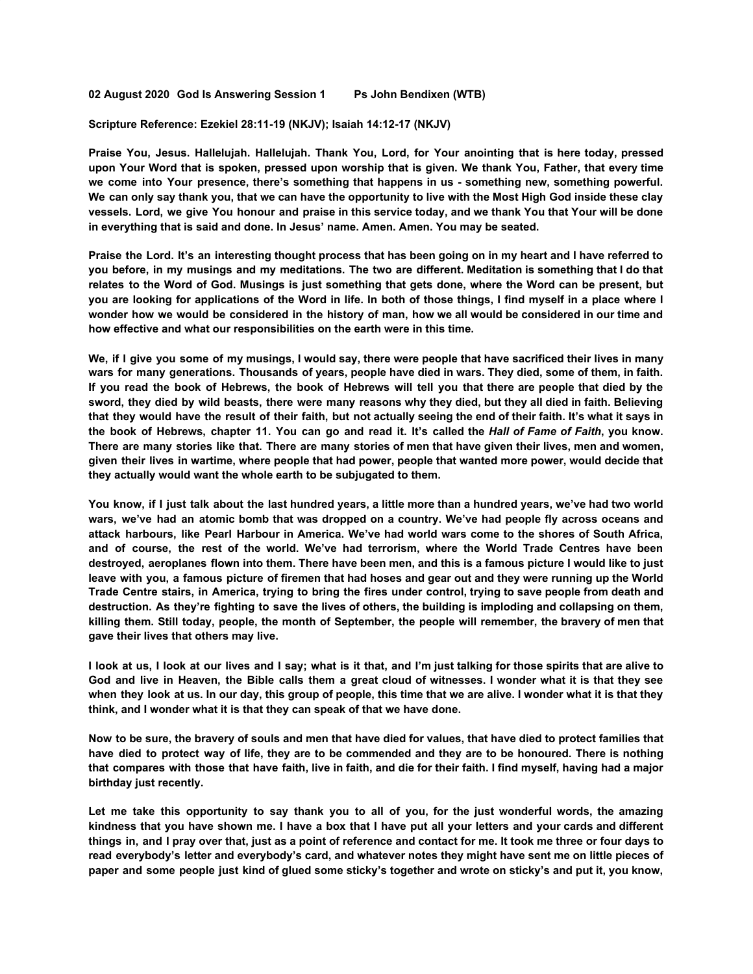**02 August 2020 God Is Answering Session 1 Ps John Bendixen (WTB)**

**Scripture Reference: Ezekiel 28:11-19 (NKJV); Isaiah 14:12-17 (NKJV)**

**Praise You, Jesus. Hallelujah. Hallelujah. Thank You, Lord, for Your anointing that is here today, pressed** upon Your Word that is spoken, pressed upon worship that is given. We thank You, Father, that every time **we come into Your presence, there's something that happens in us - something new, something powerful.** We can only say thank you, that we can have the opportunity to live with the Most High God inside these clay vessels. Lord, we give You honour and praise in this service today, and we thank You that Your will be done **in everything that is said and done. In Jesus' name. Amen. Amen. You may be seated.**

Praise the Lord. It's an interesting thought process that has been going on in my heart and I have referred to you before, in my musings and my meditations. The two are different. Meditation is something that I do that relates to the Word of God. Musings is just something that gets done, where the Word can be present, but you are looking for applications of the Word in life. In both of those things, I find myself in a place where I wonder how we would be considered in the history of man, how we all would be considered in our time and **how effective and what our responsibilities on the earth were in this time.**

We, if I give you some of my musings, I would say, there were people that have sacrificed their lives in many wars for many generations. Thousands of years, people have died in wars. They died, some of them, in faith. If you read the book of Hebrews, the book of Hebrews will tell you that there are people that died by the sword, they died by wild beasts, there were many reasons why they died, but they all died in faith. Believing that they would have the result of their faith, but not actually seeing the end of their faith. It's what it says in the book of Hebrews, chapter 11. You can go and read it. It's called the Hall of Fame of Faith, you know. There are many stories like that. There are many stories of men that have given their lives, men and women, given their lives in wartime, where people that had power, people that wanted more power, would decide that **they actually would want the whole earth to be subjugated to them.**

You know, if I just talk about the last hundred years, a little more than a hundred years, we've had two world wars, we've had an atomic bomb that was dropped on a country. We've had people fly across oceans and attack harbours, like Pearl Harbour in America. We've had world wars come to the shores of South Africa, **and of course, the rest of the world. We've had terrorism, where the World Trade Centres have been** destroyed, aeroplanes flown into them. There have been men, and this is a famous picture I would like to just leave with you, a famous picture of firemen that had hoses and gear out and they were running up the World Trade Centre stairs, in America, trying to bring the fires under control, trying to save people from death and destruction. As they're fighting to save the lives of others, the building is imploding and collapsing on them, killing them. Still today, people, the month of September, the people will remember, the bravery of men that **gave their lives that others may live.**

I look at us. I look at our lives and I say; what is it that, and I'm just talking for those spirits that are alive to God and live in Heaven, the Bible calls them a great cloud of witnesses. I wonder what it is that they see when they look at us. In our day, this group of people, this time that we are alive. I wonder what it is that they **think, and I wonder what it is that they can speak of that we have done.**

Now to be sure, the bravery of souls and men that have died for values, that have died to protect families that have died to protect way of life, they are to be commended and they are to be honoured. There is nothing that compares with those that have faith, live in faith, and die for their faith. I find myself, having had a major **birthday just recently.**

Let me take this opportunity to say thank you to all of you, for the just wonderful words, the amazing kindness that you have shown me. I have a box that I have put all your letters and your cards and different things in, and I pray over that, just as a point of reference and contact for me. It took me three or four davs to read everybody's letter and everybody's card, and whatever notes they might have sent me on little pieces of paper and some people just kind of glued some sticky's together and wrote on sticky's and put it, you know,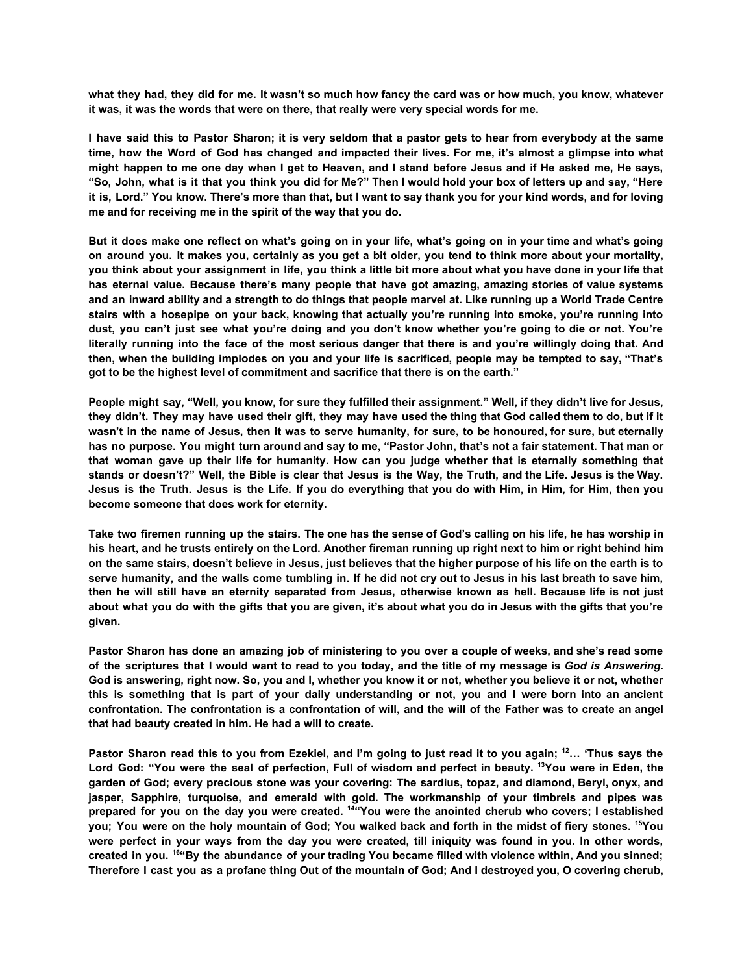what they had, they did for me. It wasn't so much how fancy the card was or how much, you know, whatever **it was, it was the words that were on there, that really were very special words for me.**

I have said this to Pastor Sharon; it is very seldom that a pastor gets to hear from everybody at the same time, how the Word of God has changed and impacted their lives. For me, it's almost a glimpse into what might happen to me one day when I get to Heaven, and I stand before Jesus and if He asked me, He says, "So, John, what is it that you think you did for Me?" Then I would hold your box of letters up and say, "Here it is, Lord." You know. There's more than that, but I want to say thank you for your kind words, and for loving **me and for receiving me in the spirit of the way that you do.**

But it does make one reflect on what's going on in your life, what's going on in your time and what's going on around you. It makes you, certainly as you get a bit older, you tend to think more about your mortality, you think about your assignment in life, you think a little bit more about what you have done in your life that **has eternal value. Because there's many people that have got amazing, amazing stories of value systems** and an inward ability and a strength to do things that people marvel at. Like running up a World Trade Centre **stairs with a hosepipe on your back, knowing that actually you're running into smoke, you're running into** dust, you can't just see what you're doing and you don't know whether you're going to die or not. You're literally running into the face of the most serious danger that there is and you're willingly doing that. And then, when the building implodes on you and your life is sacrificed, people may be tempted to say, "That's **got to be the highest level of commitment and sacrifice that there is on the earth."**

People might say, "Well, you know, for sure they fulfilled their assignment." Well, if they didn't live for Jesus, they didn't. They may have used their gift, they may have used the thing that God called them to do, but if it wasn't in the name of Jesus, then it was to serve humanity, for sure, to be honoured, for sure, but eternally has no purpose. You might turn around and say to me, "Pastor John, that's not a fair statement. That man or that woman gave up their life for humanity. How can you judge whether that is eternally something that stands or doesn't?" Well, the Bible is clear that Jesus is the Way, the Truth, and the Life. Jesus is the Way. Jesus is the Truth. Jesus is the Life. If you do everything that you do with Him, in Him, for Him, then you **become someone that does work for eternity.**

Take two firemen running up the stairs. The one has the sense of God's calling on his life, he has worship in his heart, and he trusts entirely on the Lord. Another fireman running up right next to him or right behind him on the same stairs, doesn't believe in Jesus, just believes that the higher purpose of his life on the earth is to serve humanity, and the walls come tumbling in. If he did not cry out to Jesus in his last breath to save him, then he will still have an eternity separated from Jesus, otherwise known as hell. Because life is not just about what you do with the gifts that you are given, it's about what you do in Jesus with the gifts that you're **given.**

Pastor Sharon has done an amazing job of ministering to you over a couple of weeks, and she's read some of the scriptures that I would want to read to you today, and the title of my message is God is Answering. God is answering, right now. So, you and I, whether you know it or not, whether you believe it or not, whether this is something that is part of your daily understanding or not, you and I were born into an ancient confrontation. The confrontation is a confrontation of will, and the will of the Father was to create an angel **that had beauty created in him. He had a will to create.**

Pastor Sharon read this to you from Ezekiel, and I'm going to just read it to you again; <sup>12</sup>... 'Thus says the Lord God: "You were the seal of perfection, Full of wisdom and perfect in beauty. <sup>13</sup>You were in Eden, the **garden of God; every precious stone was your covering: The sardius, topaz, and diamond, Beryl, onyx, and jasper, Sapphire, turquoise, and emerald with gold. The workmanship of your timbrels and pipes was** prepared for you on the day you were created. <sup>14t</sup> You were the anointed cherub who covers; I established you; You were on the holy mountain of God; You walked back and forth in the midst of fiery stones. <sup>15</sup>You were perfect in your ways from the day you were created, till iniquity was found in you. In other words, created in you. <sup>16</sup>"By the abundance of your trading You became filled with violence within, And you sinned; Therefore I cast you as a profane thing Out of the mountain of God; And I destroyed you, O covering cherub,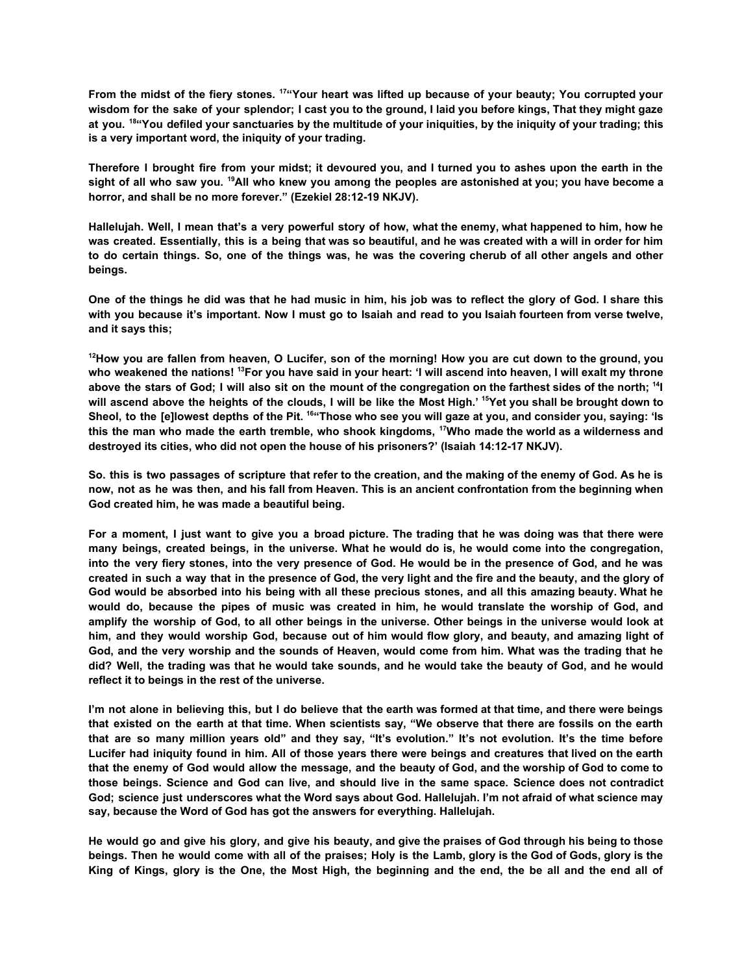From the midst of the fiery stones. <sup>17</sup>"Your heart was lifted up because of your beauty; You corrupted your wisdom for the sake of your splendor; I cast you to the ground, I laid you before kings, That they might gaze at you. <sup>18</sup> "You defiled your sanctuaries by the multitude of your iniquities, by the iniquity of your trading; this **is a very important word, the iniquity of your trading.**

Therefore I brought fire from your midst; it devoured you, and I turned you to ashes upon the earth in the sight of all who saw you. <sup>19</sup>All who knew you among the peoples are astonished at you; you have become a **horror, and shall be no more forever." (Ezekiel 28:12-19 NKJV).**

Hallelujah. Well, I mean that's a very powerful story of how, what the enemy, what happened to him, how he was created. Essentially, this is a being that was so beautiful, and he was created with a will in order for him to do certain things. So, one of the things was, he was the covering cherub of all other angels and other **beings.**

One of the things he did was that he had music in him, his job was to reflect the glory of God. I share this with you because it's important. Now I must go to Isaiah and read to you Isaiah fourteen from verse twelve, **and it says this;**

<sup>12</sup>How you are fallen from heaven, O Lucifer, son of the morning! How you are cut down to the ground, you who weakened the nations! <sup>13</sup>For you have said in your heart: 'I will ascend into heaven, I will exalt my throne above the stars of God; I will also sit on the mount of the congregation on the farthest sides of the north; <sup>14</sup>I will ascend above the heights of the clouds, I will be like the Most High.' <sup>15</sup>Yet you shall be brought down to Sheol, to the [e]lowest depths of the Pit. <sup>16</sup>"Those who see you will gaze at you, and consider you, saying: 'Is this the man who made the earth tremble, who shook kingdoms, <sup>17</sup>Who made the world as a wilderness and **destroyed its cities, who did not open the house of his prisoners?' (Isaiah 14:12-17 NKJV).**

So. this is two passages of scripture that refer to the creation, and the making of the enemy of God. As he is now, not as he was then, and his fall from Heaven. This is an ancient confrontation from the beginning when **God created him, he was made a beautiful being.**

For a moment, I just want to give you a broad picture. The trading that he was doing was that there were many beings, created beings, in the universe. What he would do is, he would come into the congregation, into the very fiery stones, into the very presence of God. He would be in the presence of God, and he was created in such a way that in the presence of God, the very light and the fire and the beauty, and the glory of God would be absorbed into his being with all these precious stones, and all this amazing beauty. What he would do, because the pipes of music was created in him, he would translate the worship of God, and amplify the worship of God, to all other beings in the universe. Other beings in the universe would look at him, and they would worship God, because out of him would flow glory, and beauty, and amazing light of God, and the very worship and the sounds of Heaven, would come from him. What was the trading that he did? Well, the trading was that he would take sounds, and he would take the beauty of God, and he would **reflect it to beings in the rest of the universe.**

I'm not alone in believing this, but I do believe that the earth was formed at that time, and there were beings that existed on the earth at that time. When scientists say, "We observe that there are fossils on the earth that are so many million years old" and they say, "It's evolution." It's not evolution. It's the time before Lucifer had iniquity found in him. All of those vears there were beings and creatures that lived on the earth that the enemy of God would allow the message, and the beauty of God, and the worship of God to come to those beings. Science and God can live, and should live in the same space. Science does not contradict God; science just underscores what the Word says about God. Hallelujah. I'm not afraid of what science may **say, because the Word of God has got the answers for everything. Hallelujah.**

He would go and give his glory, and give his beauty, and give the praises of God through his being to those beings. Then he would come with all of the praises; Holy is the Lamb, glory is the God of Gods, glory is the King of Kings, glory is the One, the Most High, the beginning and the end, the be all and the end all of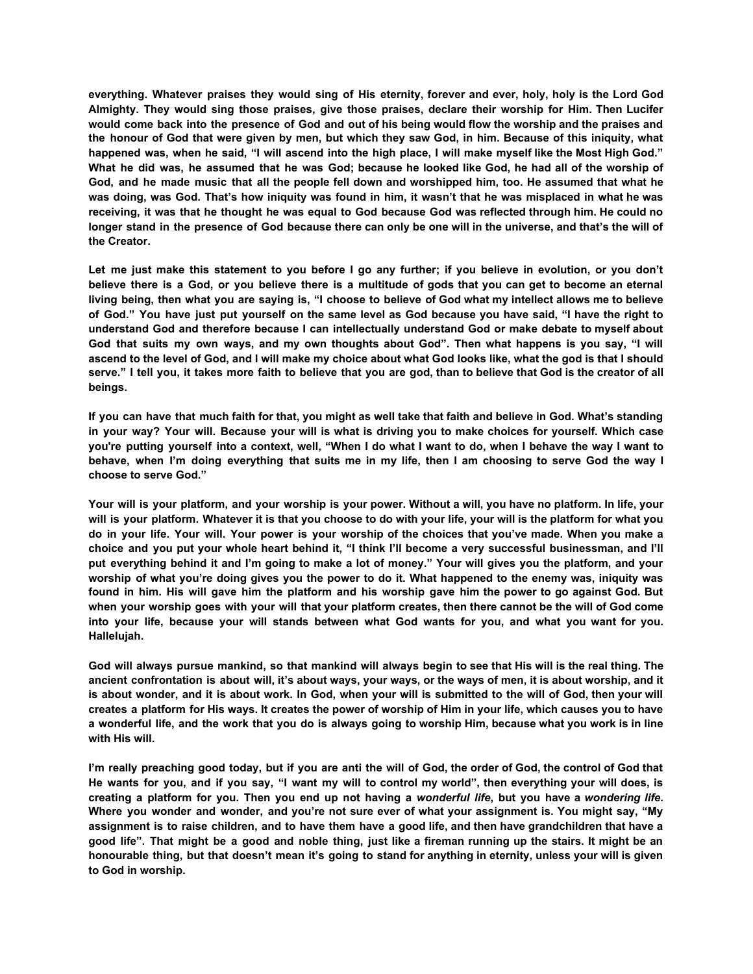everything. Whatever praises they would sing of His eternity, forever and ever, holy, holy is the Lord God **Almighty. They would sing those praises, give those praises, declare their worship for Him. Then Lucifer** would come back into the presence of God and out of his being would flow the worship and the praises and the honour of God that were given by men, but which they saw God, in him. Because of this iniquity, what happened was, when he said, "I will ascend into the high place, I will make myself like the Most High God." What he did was, he assumed that he was God; because he looked like God, he had all of the worship of God, and he made music that all the people fell down and worshipped him, too. He assumed that what he was doing, was God. That's how iniquity was found in him, it wasn't that he was misplaced in what he was receiving, it was that he thought he was equal to God because God was reflected through him. He could no longer stand in the presence of God because there can only be one will in the universe, and that's the will of **the Creator.**

Let me just make this statement to you before I go any further; if you believe in evolution, or you don't believe there is a God, or you believe there is a multitude of gods that you can get to become an eternal living being, then what you are saying is, "I choose to believe of God what my intellect allows me to believe of God." You have just put yourself on the same level as God because you have said, "I have the right to **understand God and therefore because I can intellectually understand God or make debate to myself about** God that suits my own ways, and my own thoughts about God". Then what happens is you say, "I will ascend to the level of God, and I will make my choice about what God looks like, what the god is that I should serve." I tell you, it takes more faith to believe that you are god, than to believe that God is the creator of all **beings.**

If you can have that much faith for that, you might as well take that faith and believe in God. What's standing in your way? Your will. Because your will is what is driving you to make choices for yourself. Which case you're putting yourself into a context, well, "When I do what I want to do, when I behave the way I want to behave, when I'm doing everything that suits me in my life, then I am choosing to serve God the way I **choose to serve God."**

Your will is your platform, and your worship is your power. Without a will, you have no platform. In life, your will is your platform. Whatever it is that you choose to do with your life, your will is the platform for what you do in your life. Your will. Your power is your worship of the choices that you've made. When you make a choice and you put your whole heart behind it, "I think I'll become a very successful businessman, and I'll put everything behind it and I'm going to make a lot of money." Your will gives you the platform, and your worship of what you're doing gives you the power to do it. What happened to the enemy was, injquity was found in him. His will gave him the platform and his worship gave him the power to go against God. But when your worship goes with your will that your platform creates, then there cannot be the will of God come into your life, because your will stands between what God wants for you, and what you want for you. **Hallelujah.**

God will always pursue mankind, so that mankind will always begin to see that His will is the real thing. The ancient confrontation is about will, it's about ways, your ways, or the ways of men, it is about worship, and it is about wonder, and it is about work. In God, when your will is submitted to the will of God, then your will creates a platform for His ways. It creates the power of worship of Him in your life, which causes you to have a wonderful life, and the work that you do is always going to worship Him, because what you work is in line **with His will.**

I'm really preaching good today, but if you are anti the will of God, the order of God, the control of God that He wants for you, and if you say, "I want my will to control my world", then everything your will does, is creating a platform for you. Then you end up not having a wonderful life, but you have a wondering life. Where you wonder and wonder, and you're not sure ever of what your assignment is. You might say, "My assignment is to raise children, and to have them have a good life, and then have grandchildren that have a good life". That might be a good and noble thing, just like a fireman running up the stairs. It might be an honourable thing, but that doesn't mean it's going to stand for anything in eternity, unless your will is given **to God in worship.**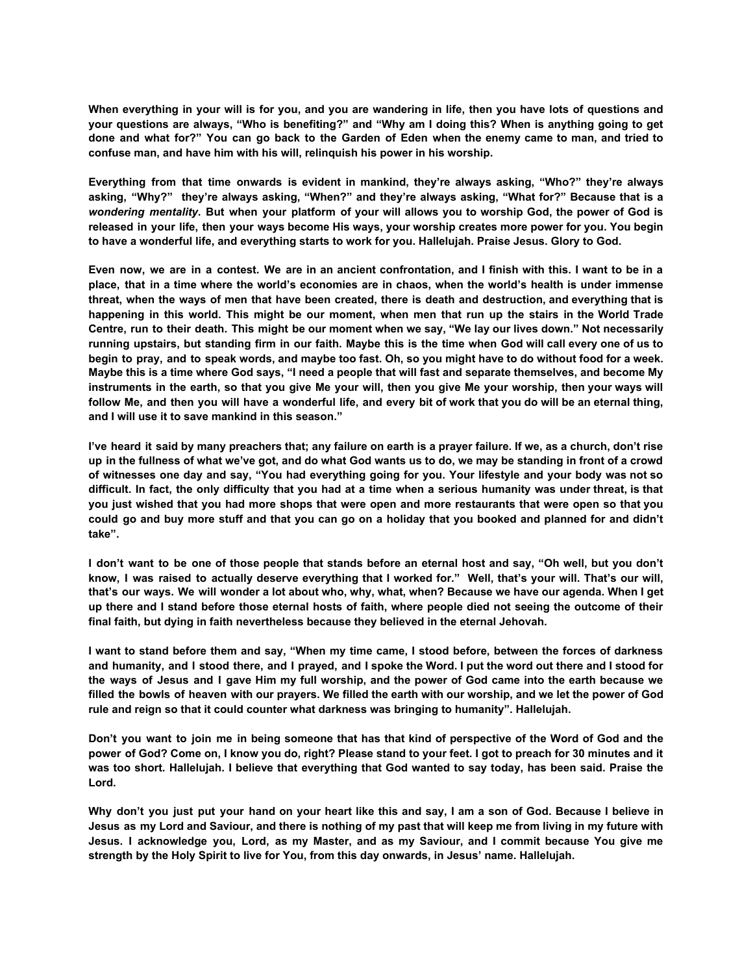When everything in your will is for you, and you are wandering in life, then you have lots of questions and your questions are always, "Who is benefiting?" and "Why am I doing this? When is anything going to get done and what for?" You can go back to the Garden of Eden when the enemy came to man, and tried to **confuse man, and have him with his will, relinquish his power in his worship.**

**Everything from that time onwards is evident in mankind, they're always asking, "Who?" they're always asking, "Why?" they're always asking, "When?" and they're always asking, "What for?" Because that is a** wondering mentality. But when your platform of your will allows you to worship God, the power of God is released in your life, then your ways become His ways, your worship creates more power for you. You begin **to have a wonderful life, and everything starts to work for you. Hallelujah. Praise Jesus. Glory to God.**

Even now, we are in a contest. We are in an ancient confrontation, and I finish with this. I want to be in a place, that in a time where the world's economies are in chaos, when the world's health is under immense threat, when the ways of men that have been created, there is death and destruction, and everything that is happening in this world. This might be our moment, when men that run up the stairs in the World Trade Centre, run to their death. This might be our moment when we say, "We lay our lives down." Not necessarily running upstairs, but standing firm in our faith. Maybe this is the time when God will call every one of us to begin to pray, and to speak words, and maybe too fast. Oh, so you might have to do without food for a week. Maybe this is a time where God says, "I need a people that will fast and separate themselves, and become My instruments in the earth, so that you give Me your will, then you give Me your worship, then your ways will follow Me, and then you will have a wonderful life, and every bit of work that you do will be an eternal thing, **and I will use it to save mankind in this season."**

I've heard it said by many preachers that; any failure on earth is a prayer failure. If we, as a church, don't rise up in the fullness of what we've got, and do what God wants us to do, we may be standing in front of a crowd of witnesses one day and say, "You had everything going for you. Your lifestyle and your body was not so difficult. In fact, the only difficulty that you had at a time when a serious humanity was under threat, is that you just wished that you had more shops that were open and more restaurants that were open so that you could go and buy more stuff and that you can go on a holiday that you booked and planned for and didn't **take".**

I don't want to be one of those people that stands before an eternal host and say, "Oh well, but you don't know, I was raised to actually deserve everything that I worked for." Well, that's your will. That's our will, that's our ways. We will wonder a lot about who, why, what, when? Because we have our agenda. When I get up there and I stand before those eternal hosts of faith, where people died not seeing the outcome of their **final faith, but dying in faith nevertheless because they believed in the eternal Jehovah.**

I want to stand before them and say, "When my time came, I stood before, between the forces of darkness and humanity, and I stood there, and I prayed, and I spoke the Word, I put the word out there and I stood for the ways of Jesus and I gave Him my full worship, and the power of God came into the earth because we filled the bowls of heaven with our prayers. We filled the earth with our worship, and we let the power of God **rule and reign so that it could counter what darkness was bringing to humanity". Hallelujah.**

Don't you want to join me in being someone that has that kind of perspective of the Word of God and the power of God? Come on, I know you do, right? Please stand to your feet. I got to preach for 30 minutes and it was too short. Hallelujah. I believe that everything that God wanted to say today, has been said. Praise the **Lord.**

Why don't you just put your hand on your heart like this and say, I am a son of God. Because I believe in Jesus as my Lord and Saviour, and there is nothing of my past that will keep me from living in my future with Jesus. I acknowledge vou. Lord, as my Master, and as my Saviour, and I commit because You give me **strength by the Holy Spirit to live for You, from this day onwards, in Jesus' name. Hallelujah.**